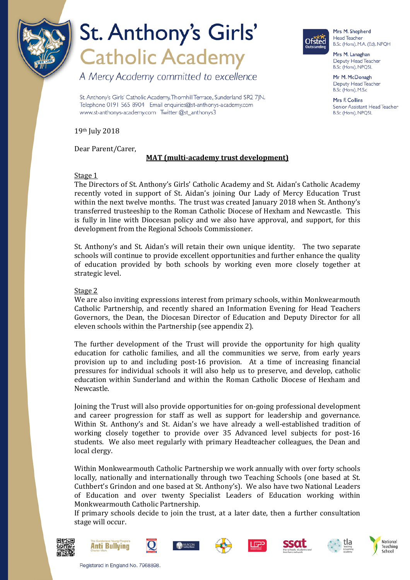

A Mercy Academy committed to excellence

St. Anthony's Girls' Catholic Academy, Thornhill Terrace, Sunderland SR2 7JN. Telephone 0191 565 8904 Email enquiries@st-anthonys-academy.com www.st-anthonys-academy.com Twitter @st\_anthonys3



Mrs M. Shepherd **Head Teacher** B.Sc (Hons), M.A. (Ed), NPQH

Mrs M. Lanaghan Deputy Head Teacher B.Sc (Hons), NPQSL

Mr M. McDonagh Deputy Head Teacher B.Sc (Hons), M.S.c

Mrs F. Collins Senior Assistant Head Teacher B.Sc (Hons), NPQSL

19th July 2018

Dear Parent/Carer,

### **MAT (multi-academy trust development)**

#### Stage 1

The Directors of St. Anthony's Girls' Catholic Academy and St. Aidan's Catholic Academy recently voted in support of St. Aidan's joining Our Lady of Mercy Education Trust within the next twelve months. The trust was created January 2018 when St. Anthony's transferred trusteeship to the Roman Catholic Diocese of Hexham and Newcastle. This is fully in line with Diocesan policy and we also have approval, and support, for this development from the Regional Schools Commissioner.

St. Anthony's and St. Aidan's will retain their own unique identity. The two separate schools will continue to provide excellent opportunities and further enhance the quality of education provided by both schools by working even more closely together at strategic level.

#### Stage 2

We are also inviting expressions interest from primary schools, within Monkwearmouth Catholic Partnership, and recently shared an Information Evening for Head Teachers Governors, the Dean, the Diocesan Director of Education and Deputy Director for all eleven schools within the Partnership (see appendix 2).

The further development of the Trust will provide the opportunity for high quality education for catholic families, and all the communities we serve, from early years provision up to and including post-16 provision. At a time of increasing financial pressures for individual schools it will also help us to preserve, and develop, catholic education within Sunderland and within the Roman Catholic Diocese of Hexham and Newcastle.

Joining the Trust will also provide opportunities for on-going professional development and career progression for staff as well as support for leadership and governance. Within St. Anthony's and St. Aidan's we have already a well-established tradition of working closely together to provide over 35 Advanced level subjects for post-16 students. We also meet regularly with primary Headteacher colleagues, the Dean and local clergy.

Within Monkwearmouth Catholic Partnership we work annually with over forty schools locally, nationally and internationally through two Teaching Schools (one based at St. Cuthbert's Grindon and one based at St. Anthony's). We also have two National Leaders of Education and over twenty Specialist Leaders of Education working within Monkwearmouth Catholic Partnership.

If primary schools decide to join the trust, at a later date, then a further consultation stage will occur.















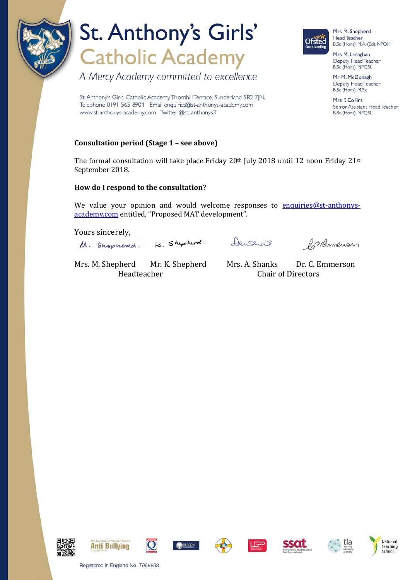

A Mercy Academy committed to excellence

St. Anthony's Girls' Catholic Academy, Thornhill Terrace, Sunderland SR2 7JN. Telephone 0191 565 8904 Email enquiries@st-anthonys-academy.com www.st-anthonys-academy.com Twitter @st\_anthonys3

### **Consultation period (Stage 1 – see above)**

The formal consultation will take place Friday  $20<sup>th</sup>$  July 2018 until 12 noon Friday  $21<sup>st</sup>$ September 2018.

#### **How do I respond to the consultation?**

We value your opinion and would welcome responses to [enquiries@st-anthonys](mailto:enquiries@st-anthonys-academy.com)[academy.com](mailto:enquiries@st-anthonys-academy.com) entitled, "Proposed MAT development".

Yours sincerely,

K. Shepherd. M. Snephord.

denserad

Commenon

Mrs. M. Shepherd Mr. K. Shepherd Mrs. A. Shanks Dr. C. Emmerson<br>Headteacher Chair of Directors Chair of Directors





B.Sc (Hons), M.A. (Ed), NPQH

Mrs M. Lanaghan Deputy Head Teacher B.Sc (Hons), NPQSL

Mr M. McDonagh Deputy Head Teacher B.Sc (Hons), M.S.c

Mrs F. Collins Senior Assistant Head Teacher B.Sc (Hons), NPQSL

















Registered in England No. 7968898.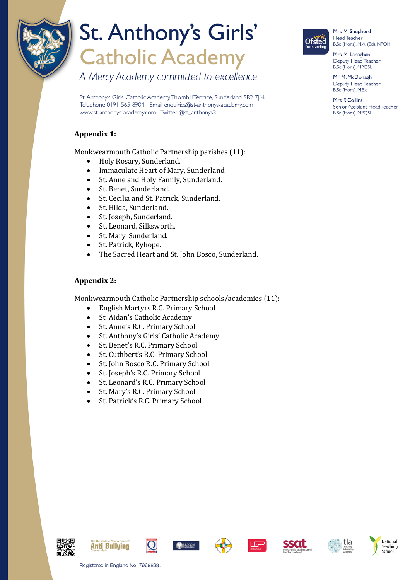

A Mercy Academy committed to excellence

St. Anthony's Girls' Catholic Academy, Thornhill Terrace, Sunderland SR2 7JN. Telephone 0191 565 8904 Email enquiries@st-anthonys-academy.com www.st-anthonys-academy.com Twitter @st\_anthonys3

### **Appendix 1:**

Monkwearmouth Catholic Partnership parishes (11):

- Holy Rosary, Sunderland.<br>• Immaculate Heart of Mary
- Immaculate Heart of Mary, Sunderland.<br>• St. Anne and Holy Family, Sunderland
- St. Anne and Holy Family, Sunderland.<br>• St. Benet Sunderland
- St. Benet, Sunderland.<br>• St. Cecilia and St. Patri
- St. Cecilia and St. Patrick, Sunderland.<br>• St. Hilda Sunderland
- St. Hilda, Sunderland.<br>• St Joseph Sunderland
- St. Joseph, Sunderland.<br>• St Leonard Silksworth
- St. Leonard, Silksworth.
- St. Mary, Sunderland.<br>• St. Patrick Ryhone
- St. Patrick, Ryhope.
- The Sacred Heart and St. John Bosco, Sunderland.

### **Appendix 2:**

Monkwearmouth Catholic Partnership schools/academies (11):<br>
• Fuglish Martyrs R C Primary School

- English Martyrs R.C. Primary School<br>• St. Aidan's Catholic Academy
- St. Aidan's Catholic Academy<br>• St. Anne's R.C. Primary Schoo
- St. Anne's R.C. Primary School<br>• St. Anthony's Girls' Catholic Ac
- St. Anthony's Girls' Catholic Academy<br>• St. Banet's B.C. Primary School
- St. Benet's R.C. Primary School<br>• St. Cuthbert's R.C. Primary Scho
- St. Cuthbert's R.C. Primary School<br>• St. John Bosco R.C. Primary School
- St. John Bosco R.C. Primary School<br>• St. Joseph's R.C. Primary School
- St. Joseph's R.C. Primary School<br>• St. Leonard's R.C. Primary School
- St. Leonard's R.C. Primary School
- St. Mary's R.C. Primary School
- St. Patrick's R.C. Primary School



Mrs M. Shepherd Head Teacher B.Sc (Hons), M.A. (Ed), NPQH

Mrs M. Lanaghan Deputy Head Teacher B.Sc (Hons), NPQSL

Mr M. McDonagh Deputy Head Teacher B.Sc (Hons), M.S.c

Mrs F. Collins Senior Assistant Head Teacher B.Sc (Hons), NPQSL















Registered in England No. 7968898.